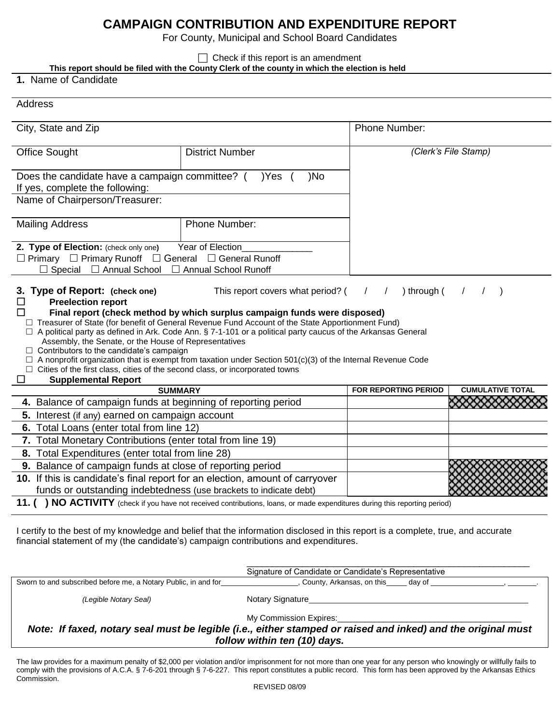## **CAMPAIGN CONTRIBUTION AND EXPENDITURE REPORT**

For County, Municipal and School Board Candidates

 $\Box$  Check if this report is an amendment

**This report should be filed with the County Clerk of the county in which the election is held**

**1.** Name of Candidate

Address

| City, State and Zip                                                                                                                                                                                                                                                                               |                                                                                                                                                                                                                                                                                                                                                                                                                                                                  | <b>Phone Number:</b>        |                         |
|---------------------------------------------------------------------------------------------------------------------------------------------------------------------------------------------------------------------------------------------------------------------------------------------------|------------------------------------------------------------------------------------------------------------------------------------------------------------------------------------------------------------------------------------------------------------------------------------------------------------------------------------------------------------------------------------------------------------------------------------------------------------------|-----------------------------|-------------------------|
| <b>Office Sought</b>                                                                                                                                                                                                                                                                              | <b>District Number</b>                                                                                                                                                                                                                                                                                                                                                                                                                                           |                             | (Clerk's File Stamp)    |
| Does the candidate have a campaign committee? () Yes (<br>If yes, complete the following:                                                                                                                                                                                                         | )No                                                                                                                                                                                                                                                                                                                                                                                                                                                              |                             |                         |
| Name of Chairperson/Treasurer:                                                                                                                                                                                                                                                                    |                                                                                                                                                                                                                                                                                                                                                                                                                                                                  |                             |                         |
| <b>Mailing Address</b>                                                                                                                                                                                                                                                                            | Phone Number:                                                                                                                                                                                                                                                                                                                                                                                                                                                    |                             |                         |
| 2. Type of Election: (check only one)<br>$\Box$ Primary $\Box$ Primary Runoff $\Box$ General $\Box$ General Runoff<br>$\Box$ Special $\Box$ Annual School $\Box$ Annual School Runoff                                                                                                             | Year of Election                                                                                                                                                                                                                                                                                                                                                                                                                                                 |                             |                         |
| 3. Type of Report: (check one)<br><b>Preelection report</b><br>П<br>Assembly, the Senate, or the House of Representatives<br>$\Box$ Contributors to the candidate's campaign<br>$\Box$ Cities of the first class, cities of the second class, or incorporated towns<br><b>Supplemental Report</b> | This report covers what period? (<br>Final report (check method by which surplus campaign funds were disposed)<br>□ Treasurer of State (for benefit of General Revenue Fund Account of the State Apportionment Fund)<br>$\Box$ A political party as defined in Ark. Code Ann. § 7-1-101 or a political party caucus of the Arkansas General<br>$\Box$ A nonprofit organization that is exempt from taxation under Section 501(c)(3) of the Internal Revenue Code | ) through $($               |                         |
| <b>SUMMARY</b>                                                                                                                                                                                                                                                                                    |                                                                                                                                                                                                                                                                                                                                                                                                                                                                  | <b>FOR REPORTING PERIOD</b> | <b>CUMULATIVE TOTAL</b> |
| 4. Balance of campaign funds at beginning of reporting period                                                                                                                                                                                                                                     |                                                                                                                                                                                                                                                                                                                                                                                                                                                                  |                             |                         |
| 5. Interest (if any) earned on campaign account                                                                                                                                                                                                                                                   |                                                                                                                                                                                                                                                                                                                                                                                                                                                                  |                             |                         |
| 6. Total Loans (enter total from line 12)                                                                                                                                                                                                                                                         |                                                                                                                                                                                                                                                                                                                                                                                                                                                                  |                             |                         |
| 7. Total Monetary Contributions (enter total from line 19)                                                                                                                                                                                                                                        |                                                                                                                                                                                                                                                                                                                                                                                                                                                                  |                             |                         |
| 8. Total Expenditures (enter total from line 28)                                                                                                                                                                                                                                                  |                                                                                                                                                                                                                                                                                                                                                                                                                                                                  |                             |                         |
| 9. Balance of campaign funds at close of reporting period                                                                                                                                                                                                                                         |                                                                                                                                                                                                                                                                                                                                                                                                                                                                  |                             |                         |
| 10. If this is candidate's final report for an election, amount of carryover                                                                                                                                                                                                                      |                                                                                                                                                                                                                                                                                                                                                                                                                                                                  |                             |                         |
| funds or outstanding indebtedness (use brackets to indicate debt)                                                                                                                                                                                                                                 |                                                                                                                                                                                                                                                                                                                                                                                                                                                                  |                             |                         |

11. ( ) NO ACTIVITY (check if you have not received contributions, loans, or made expenditures during this reporting period)

I certify to the best of my knowledge and belief that the information disclosed in this report is a complete, true, and accurate financial statement of my (the candidate's) campaign contributions and expenditures.

|                                                                | Signature of Candidate or Candidate's Representative |
|----------------------------------------------------------------|------------------------------------------------------|
| Sworn to and subscribed before me, a Notary Public, in and for | County, Arkansas, on this<br>day of                  |
| (Legible Notary Seal)                                          | <b>Notary Signature</b>                              |
|                                                                | My Commission Expires:                               |

*Note: If faxed, notary seal must be legible (i.e., either stamped or raised and inked) and the original must follow within ten (10) days.*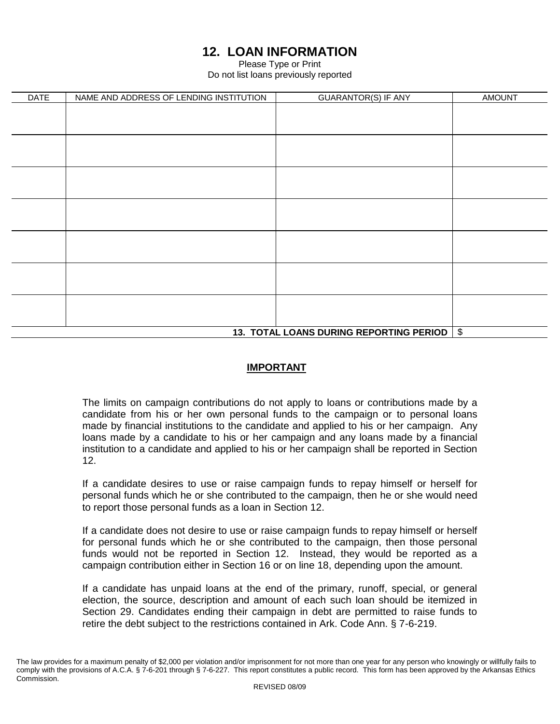# **12. LOAN INFORMATION**

Please Type or Print Do not list loans previously reported

| <b>DATE</b> | NAME AND ADDRESS OF LENDING INSTITUTION | <b>GUARANTOR(S) IF ANY</b>              | <b>AMOUNT</b>             |
|-------------|-----------------------------------------|-----------------------------------------|---------------------------|
|             |                                         |                                         |                           |
|             |                                         |                                         |                           |
|             |                                         |                                         |                           |
|             |                                         |                                         |                           |
|             |                                         |                                         |                           |
|             |                                         |                                         |                           |
|             |                                         |                                         |                           |
|             |                                         |                                         |                           |
|             |                                         |                                         |                           |
|             |                                         |                                         |                           |
|             |                                         |                                         |                           |
|             |                                         |                                         |                           |
|             |                                         |                                         |                           |
|             |                                         |                                         |                           |
|             |                                         |                                         |                           |
|             |                                         | 13. TOTAL LOANS DURING REPORTING PERIOD | $\boldsymbol{\mathsf{S}}$ |

### **IMPORTANT**

The limits on campaign contributions do not apply to loans or contributions made by a candidate from his or her own personal funds to the campaign or to personal loans made by financial institutions to the candidate and applied to his or her campaign. Any loans made by a candidate to his or her campaign and any loans made by a financial institution to a candidate and applied to his or her campaign shall be reported in Section 12.

If a candidate desires to use or raise campaign funds to repay himself or herself for personal funds which he or she contributed to the campaign, then he or she would need to report those personal funds as a loan in Section 12.

If a candidate does not desire to use or raise campaign funds to repay himself or herself for personal funds which he or she contributed to the campaign, then those personal funds would not be reported in Section 12. Instead, they would be reported as a campaign contribution either in Section 16 or on line 18, depending upon the amount.

If a candidate has unpaid loans at the end of the primary, runoff, special, or general election, the source, description and amount of each such loan should be itemized in Section 29. Candidates ending their campaign in debt are permitted to raise funds to retire the debt subject to the restrictions contained in Ark. Code Ann. § 7-6-219.

The law provides for a maximum penalty of \$2,000 per violation and/or imprisonment for not more than one year for any person who knowingly or willfully fails to comply with the provisions of A.C.A. § 7-6-201 through § 7-6-227. This report constitutes a public record. This form has been approved by the Arkansas Ethics Commission.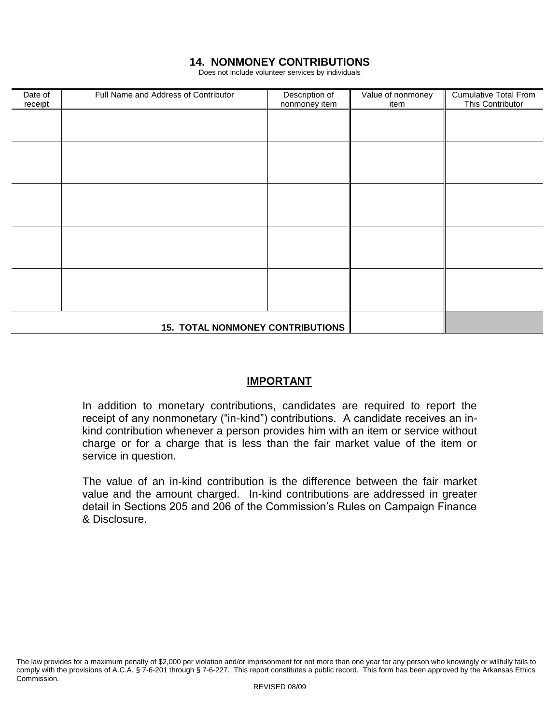### **14. NONMONEY CONTRIBUTIONS**

Does not include volunteer services by individuals

| Date of<br>receipt | Full Name and Address of Contributor    | Description of<br>nonmoney item | Value of nonmoney<br>item | <b>Cumulative Total From</b><br>This Contributor |
|--------------------|-----------------------------------------|---------------------------------|---------------------------|--------------------------------------------------|
|                    |                                         |                                 |                           |                                                  |
|                    |                                         |                                 |                           |                                                  |
|                    |                                         |                                 |                           |                                                  |
|                    |                                         |                                 |                           |                                                  |
|                    |                                         |                                 |                           |                                                  |
|                    |                                         |                                 |                           |                                                  |
|                    |                                         |                                 |                           |                                                  |
|                    |                                         |                                 |                           |                                                  |
|                    |                                         |                                 |                           |                                                  |
|                    |                                         |                                 |                           |                                                  |
|                    | <b>15. TOTAL NONMONEY CONTRIBUTIONS</b> |                                 |                           |                                                  |

### **IMPORTANT**

In addition to monetary contributions, candidates are required to report the receipt of any nonmonetary ("in-kind") contributions. A candidate receives an inkind contribution whenever a person provides him with an item or service without charge or for a charge that is less than the fair market value of the item or service in question.

The value of an in-kind contribution is the difference between the fair market value and the amount charged. In-kind contributions are addressed in greater detail in Sections 205 and 206 of the Commission's Rules on Campaign Finance & Disclosure.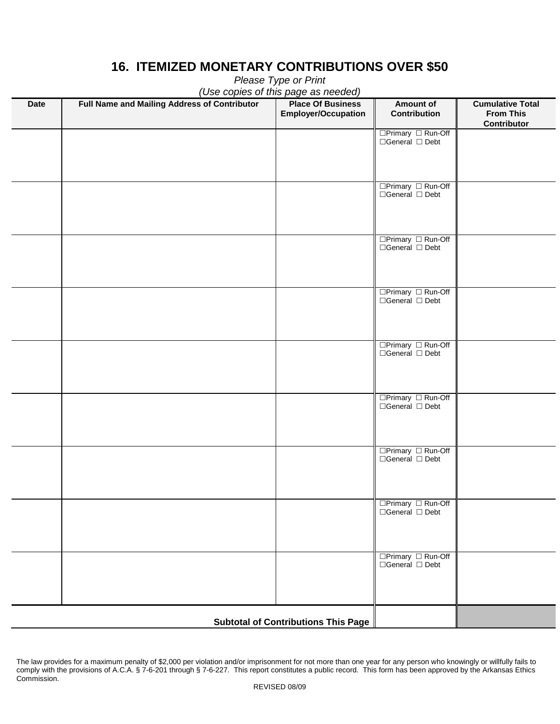# **16. ITEMIZED MONETARY CONTRIBUTIONS OVER \$50**

| (Use copies of this page as needed) |                                              |                                                        |                                                  |                                                            |
|-------------------------------------|----------------------------------------------|--------------------------------------------------------|--------------------------------------------------|------------------------------------------------------------|
| <b>Date</b>                         | Full Name and Mailing Address of Contributor | <b>Place Of Business</b><br><b>Employer/Occupation</b> | <b>Amount of</b><br>Contribution                 | <b>Cumulative Total</b><br><b>From This</b><br>Contributor |
|                                     |                                              |                                                        | □Primary □ Run-Off                               |                                                            |
|                                     |                                              |                                                        | $\Box$ General $\Box$ Debt                       |                                                            |
|                                     |                                              |                                                        |                                                  |                                                            |
|                                     |                                              |                                                        | $\Box$ Primary $\Box$ Run-Off                    |                                                            |
|                                     |                                              |                                                        | $\Box$ General $\Box$ Debt                       |                                                            |
|                                     |                                              |                                                        |                                                  |                                                            |
|                                     |                                              |                                                        |                                                  |                                                            |
|                                     |                                              |                                                        | □Primary □ Run-Off<br>$\Box$ General $\Box$ Debt |                                                            |
|                                     |                                              |                                                        |                                                  |                                                            |
|                                     |                                              |                                                        |                                                  |                                                            |
|                                     |                                              |                                                        | □Primary □ Run-Off<br>$\Box$ General $\Box$ Debt |                                                            |
|                                     |                                              |                                                        |                                                  |                                                            |
|                                     |                                              |                                                        |                                                  |                                                            |
|                                     |                                              |                                                        | □Primary □ Run-Off                               |                                                            |
|                                     |                                              |                                                        | $\Box$ General $\Box$ Debt                       |                                                            |
|                                     |                                              |                                                        |                                                  |                                                            |
|                                     |                                              |                                                        | □Primary □ Run-Off                               |                                                            |
|                                     |                                              |                                                        | $\Box$ General $\Box$ Debt                       |                                                            |
|                                     |                                              |                                                        |                                                  |                                                            |
|                                     |                                              |                                                        |                                                  |                                                            |
|                                     |                                              |                                                        | □Primary □ Run-Off<br>$\Box$ General $\Box$ Debt |                                                            |
|                                     |                                              |                                                        |                                                  |                                                            |
|                                     |                                              |                                                        |                                                  |                                                            |
|                                     |                                              |                                                        | □Primary □ Run-Off<br>$\Box$ General $\Box$ Debt |                                                            |
|                                     |                                              |                                                        |                                                  |                                                            |
|                                     |                                              |                                                        |                                                  |                                                            |
|                                     |                                              |                                                        | □Primary □ Run-Off                               |                                                            |
|                                     |                                              |                                                        | $\Box$ General $\Box$ Debt                       |                                                            |
|                                     |                                              |                                                        |                                                  |                                                            |
|                                     |                                              |                                                        |                                                  |                                                            |
|                                     |                                              | <b>Subtotal of Contributions This Page</b>             |                                                  |                                                            |

*Please Type or Print*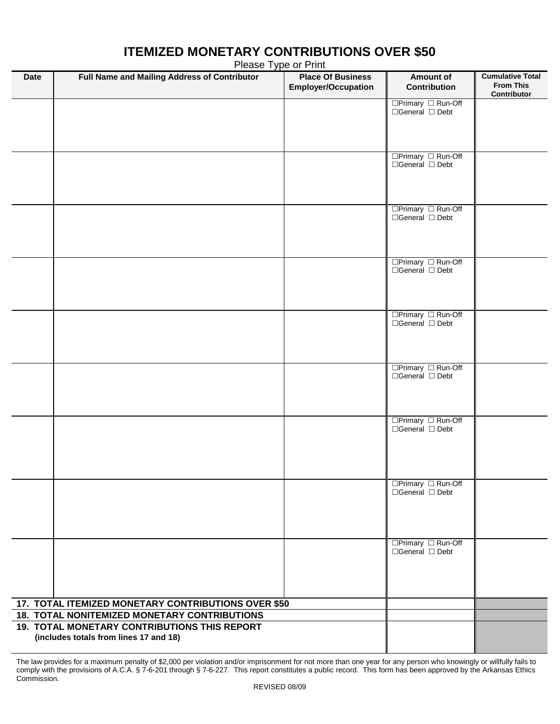# **Date Full Name and Mailing Address of Contributor Place Of Business Employer/Occupation Amount of Contribution Cumulative Total From This Contributor**  $\Box$ Primary  $\Box$  Run-Off □General □ Debt □Primary □ Run-Off  $\Box$ General  $\Box$  Debt □Primary □ Run-Off □General □ Debt □Primary □ Run-Off  $\Box$ General  $\Box$  Debt  $\Box$ Primary  $\Box$  Run-Off  $\Box$ General  $\Box$  Debt □Primary □ Run-Off □General □ Debt □Primary □ Run-Off □General □ Debt □Primary □ Run-Off □General □ Debt □Primary □ Run-Off  $\overline{\Box}$ General  $\overline{\Box}$  Debt **17. TOTAL ITEMIZED MONETARY CONTRIBUTIONS OVER \$50 18. TOTAL NONITEMIZED MONETARY CONTRIBUTIONS 19. TOTAL MONETARY CONTRIBUTIONS THIS REPORT (includes totals from lines 17 and 18)**

# **ITEMIZED MONETARY CONTRIBUTIONS OVER \$50**

Please Type or Print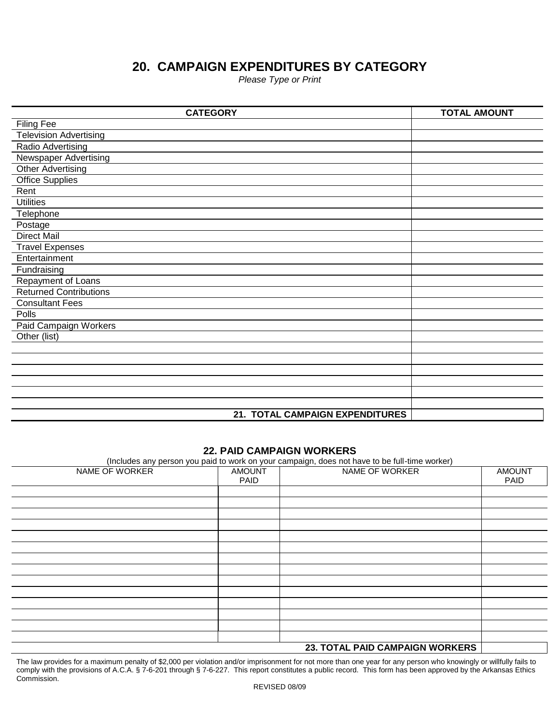# **20. CAMPAIGN EXPENDITURES BY CATEGORY**

*Please Type or Print*

| <b>CATEGORY</b>                 | <b>TOTAL AMOUNT</b> |
|---------------------------------|---------------------|
| <b>Filing Fee</b>               |                     |
| <b>Television Advertising</b>   |                     |
| Radio Advertising               |                     |
| <b>Newspaper Advertising</b>    |                     |
| <b>Other Advertising</b>        |                     |
| <b>Office Supplies</b>          |                     |
| Rent                            |                     |
| <b>Utilities</b>                |                     |
| Telephone                       |                     |
| Postage                         |                     |
| <b>Direct Mail</b>              |                     |
| <b>Travel Expenses</b>          |                     |
| Entertainment                   |                     |
| Fundraising                     |                     |
| Repayment of Loans              |                     |
| <b>Returned Contributions</b>   |                     |
| <b>Consultant Fees</b>          |                     |
| Polls                           |                     |
| Paid Campaign Workers           |                     |
| Other (list)                    |                     |
|                                 |                     |
|                                 |                     |
|                                 |                     |
|                                 |                     |
|                                 |                     |
|                                 |                     |
| 21. TOTAL CAMPAIGN EXPENDITURES |                     |

#### **22. PAID CAMPAIGN WORKERS**

(Includes any person you paid to work on your campaign, does not have to be full-time worker)

| .<br>NAME OF WORKER | <b>AMOUNT</b><br>PAID | NAME OF WORKER                  | <b>AMOUNT</b><br>PAID |
|---------------------|-----------------------|---------------------------------|-----------------------|
|                     |                       |                                 |                       |
|                     |                       |                                 |                       |
|                     |                       |                                 |                       |
|                     |                       |                                 |                       |
|                     |                       |                                 |                       |
|                     |                       |                                 |                       |
|                     |                       |                                 |                       |
|                     |                       |                                 |                       |
|                     |                       |                                 |                       |
|                     |                       |                                 |                       |
|                     |                       |                                 |                       |
|                     |                       |                                 |                       |
|                     |                       |                                 |                       |
|                     |                       |                                 |                       |
|                     |                       | 23. TOTAL PAID CAMPAIGN WORKERS |                       |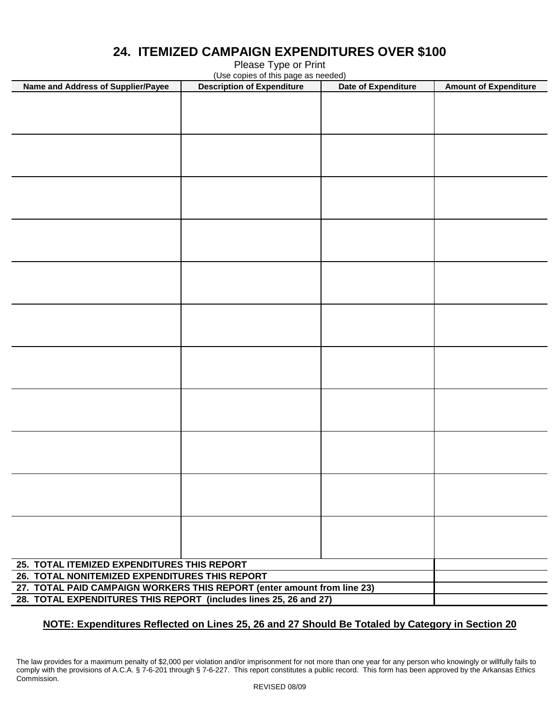| (Use copies of this page as needed)                                     |                                   |                     |                              |  |  |
|-------------------------------------------------------------------------|-----------------------------------|---------------------|------------------------------|--|--|
| Name and Address of Supplier/Payee                                      | <b>Description of Expenditure</b> | Date of Expenditure | <b>Amount of Expenditure</b> |  |  |
|                                                                         |                                   |                     |                              |  |  |
|                                                                         |                                   |                     |                              |  |  |
|                                                                         |                                   |                     |                              |  |  |
|                                                                         |                                   |                     |                              |  |  |
|                                                                         |                                   |                     |                              |  |  |
|                                                                         |                                   |                     |                              |  |  |
|                                                                         |                                   |                     |                              |  |  |
|                                                                         |                                   |                     |                              |  |  |
|                                                                         |                                   |                     |                              |  |  |
|                                                                         |                                   |                     |                              |  |  |
|                                                                         |                                   |                     |                              |  |  |
|                                                                         |                                   |                     |                              |  |  |
|                                                                         |                                   |                     |                              |  |  |
|                                                                         |                                   |                     |                              |  |  |
|                                                                         |                                   |                     |                              |  |  |
|                                                                         |                                   |                     |                              |  |  |
|                                                                         |                                   |                     |                              |  |  |
|                                                                         |                                   |                     |                              |  |  |
|                                                                         |                                   |                     |                              |  |  |
|                                                                         |                                   |                     |                              |  |  |
|                                                                         |                                   |                     |                              |  |  |
|                                                                         |                                   |                     |                              |  |  |
|                                                                         |                                   |                     |                              |  |  |
|                                                                         |                                   |                     |                              |  |  |
|                                                                         |                                   |                     |                              |  |  |
|                                                                         |                                   |                     |                              |  |  |
|                                                                         |                                   |                     |                              |  |  |
|                                                                         |                                   |                     |                              |  |  |
|                                                                         |                                   |                     |                              |  |  |
|                                                                         |                                   |                     |                              |  |  |
|                                                                         |                                   |                     |                              |  |  |
|                                                                         |                                   |                     |                              |  |  |
|                                                                         |                                   |                     |                              |  |  |
|                                                                         |                                   |                     |                              |  |  |
|                                                                         |                                   |                     |                              |  |  |
|                                                                         |                                   |                     |                              |  |  |
|                                                                         |                                   |                     |                              |  |  |
|                                                                         |                                   |                     |                              |  |  |
|                                                                         |                                   |                     |                              |  |  |
|                                                                         |                                   |                     |                              |  |  |
|                                                                         |                                   |                     |                              |  |  |
|                                                                         |                                   |                     |                              |  |  |
|                                                                         |                                   |                     |                              |  |  |
|                                                                         |                                   |                     |                              |  |  |
|                                                                         |                                   |                     |                              |  |  |
| 25. TOTAL ITEMIZED EXPENDITURES THIS REPORT                             |                                   |                     |                              |  |  |
| 26. TOTAL NONITEMIZED EXPENDITURES THIS REPORT                          |                                   |                     |                              |  |  |
| 27. TOTAL PAID CAMPAIGN WORKERS THIS REPORT (enter amount from line 23) |                                   |                     |                              |  |  |
| 28. TOTAL EXPENDITURES THIS REPORT (includes lines 25, 26 and 27)       |                                   |                     |                              |  |  |

### **24. ITEMIZED CAMPAIGN EXPENDITURES OVER \$100** Please Type or Print

**NOTE: Expenditures Reflected on Lines 25, 26 and 27 Should Be Totaled by Category in Section 20**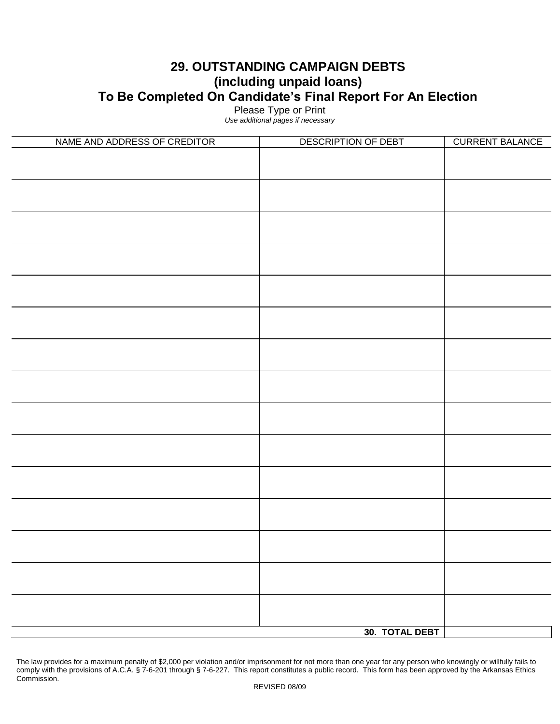### **29. OUTSTANDING CAMPAIGN DEBTS (including unpaid loans) To Be Completed On Candidate's Final Report For An Election**

Please Type or Print

*Use additional pages if necessary*

| NAME AND ADDRESS OF CREDITOR | DESCRIPTION OF DEBT | <b>CURRENT BALANCE</b> |
|------------------------------|---------------------|------------------------|
|                              |                     |                        |
|                              |                     |                        |
|                              |                     |                        |
|                              |                     |                        |
|                              |                     |                        |
|                              |                     |                        |
|                              |                     |                        |
|                              |                     |                        |
|                              |                     |                        |
|                              |                     |                        |
|                              |                     |                        |
|                              |                     |                        |
|                              |                     |                        |
|                              |                     |                        |
|                              |                     |                        |
|                              |                     |                        |
|                              |                     |                        |
|                              |                     |                        |
|                              |                     |                        |
|                              |                     |                        |
|                              |                     |                        |
|                              |                     |                        |
|                              |                     |                        |
|                              |                     |                        |
|                              |                     |                        |
|                              |                     |                        |
|                              |                     |                        |
|                              |                     |                        |
|                              |                     |                        |
|                              |                     |                        |
|                              |                     |                        |
|                              |                     |                        |
|                              | 30. TOTAL DEBT      |                        |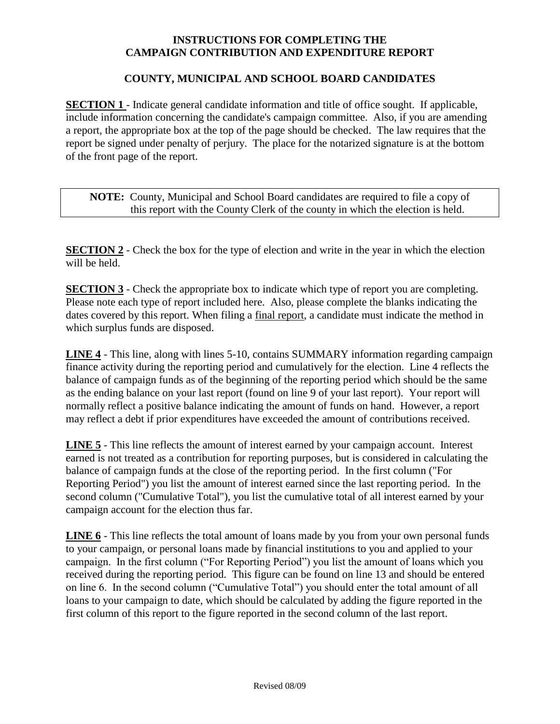### **INSTRUCTIONS FOR COMPLETING THE CAMPAIGN CONTRIBUTION AND EXPENDITURE REPORT**

### **COUNTY, MUNICIPAL AND SCHOOL BOARD CANDIDATES**

**SECTION 1** - Indicate general candidate information and title of office sought. If applicable, include information concerning the candidate's campaign committee. Also, if you are amending a report, the appropriate box at the top of the page should be checked. The law requires that the report be signed under penalty of perjury. The place for the notarized signature is at the bottom of the front page of the report.

**NOTE:** County, Municipal and School Board candidates are required to file a copy of this report with the County Clerk of the county in which the election is held.

**SECTION 2** - Check the box for the type of election and write in the year in which the election will be held.

**SECTION 3** - Check the appropriate box to indicate which type of report you are completing. Please note each type of report included here. Also, please complete the blanks indicating the dates covered by this report. When filing a final report, a candidate must indicate the method in which surplus funds are disposed.

**LINE 4** - This line, along with lines 5-10, contains SUMMARY information regarding campaign finance activity during the reporting period and cumulatively for the election. Line 4 reflects the balance of campaign funds as of the beginning of the reporting period which should be the same as the ending balance on your last report (found on line 9 of your last report). Your report will normally reflect a positive balance indicating the amount of funds on hand. However, a report may reflect a debt if prior expenditures have exceeded the amount of contributions received.

**LINE 5** - This line reflects the amount of interest earned by your campaign account. Interest earned is not treated as a contribution for reporting purposes, but is considered in calculating the balance of campaign funds at the close of the reporting period. In the first column ("For Reporting Period") you list the amount of interest earned since the last reporting period. In the second column ("Cumulative Total"), you list the cumulative total of all interest earned by your campaign account for the election thus far.

**LINE 6** - This line reflects the total amount of loans made by you from your own personal funds to your campaign, or personal loans made by financial institutions to you and applied to your campaign. In the first column ("For Reporting Period") you list the amount of loans which you received during the reporting period. This figure can be found on line 13 and should be entered on line 6. In the second column ("Cumulative Total") you should enter the total amount of all loans to your campaign to date, which should be calculated by adding the figure reported in the first column of this report to the figure reported in the second column of the last report.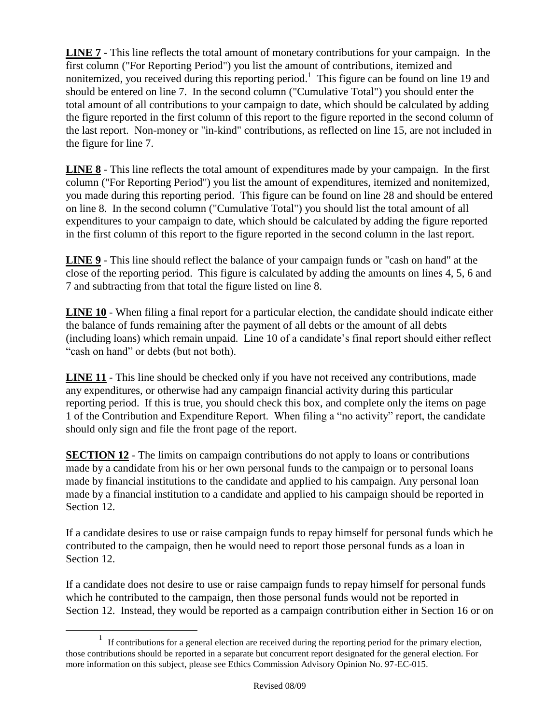**LINE 7** - This line reflects the total amount of monetary contributions for your campaign. In the first column ("For Reporting Period") you list the amount of contributions, itemized and nonitemized, you received during this reporting period.<sup>1</sup> This figure can be found on line 19 and should be entered on line 7. In the second column ("Cumulative Total") you should enter the total amount of all contributions to your campaign to date, which should be calculated by adding the figure reported in the first column of this report to the figure reported in the second column of the last report. Non-money or "in-kind" contributions, as reflected on line 15, are not included in the figure for line 7.

**LINE 8** - This line reflects the total amount of expenditures made by your campaign. In the first column ("For Reporting Period") you list the amount of expenditures, itemized and nonitemized, you made during this reporting period. This figure can be found on line 28 and should be entered on line 8. In the second column ("Cumulative Total") you should list the total amount of all expenditures to your campaign to date, which should be calculated by adding the figure reported in the first column of this report to the figure reported in the second column in the last report.

**LINE 9** - This line should reflect the balance of your campaign funds or "cash on hand" at the close of the reporting period. This figure is calculated by adding the amounts on lines 4, 5, 6 and 7 and subtracting from that total the figure listed on line 8.

**LINE 10** - When filing a final report for a particular election, the candidate should indicate either the balance of funds remaining after the payment of all debts or the amount of all debts (including loans) which remain unpaid. Line 10 of a candidate's final report should either reflect "cash on hand" or debts (but not both).

**LINE 11** - This line should be checked only if you have not received any contributions, made any expenditures, or otherwise had any campaign financial activity during this particular reporting period. If this is true, you should check this box, and complete only the items on page 1 of the Contribution and Expenditure Report. When filing a "no activity" report, the candidate should only sign and file the front page of the report.

**SECTION 12** - The limits on campaign contributions do not apply to loans or contributions made by a candidate from his or her own personal funds to the campaign or to personal loans made by financial institutions to the candidate and applied to his campaign. Any personal loan made by a financial institution to a candidate and applied to his campaign should be reported in Section 12.

If a candidate desires to use or raise campaign funds to repay himself for personal funds which he contributed to the campaign, then he would need to report those personal funds as a loan in Section 12.

If a candidate does not desire to use or raise campaign funds to repay himself for personal funds which he contributed to the campaign, then those personal funds would not be reported in Section 12. Instead, they would be reported as a campaign contribution either in Section 16 or on

 $\overline{a}$ 

<sup>&</sup>lt;sup>1</sup> If contributions for a general election are received during the reporting period for the primary election, those contributions should be reported in a separate but concurrent report designated for the general election. For more information on this subject, please see Ethics Commission Advisory Opinion No. 97-EC-015.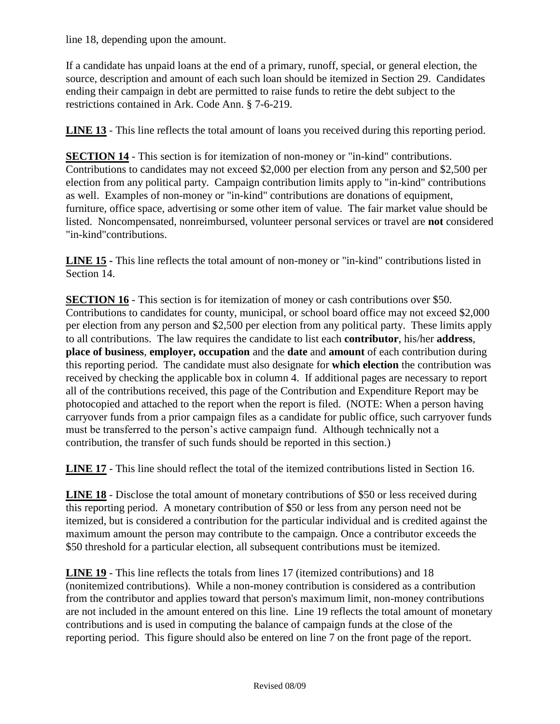line 18, depending upon the amount.

If a candidate has unpaid loans at the end of a primary, runoff, special, or general election, the source, description and amount of each such loan should be itemized in Section 29. Candidates ending their campaign in debt are permitted to raise funds to retire the debt subject to the restrictions contained in Ark. Code Ann. § 7-6-219.

**LINE 13** - This line reflects the total amount of loans you received during this reporting period.

**SECTION 14** - This section is for itemization of non-money or "in-kind" contributions. Contributions to candidates may not exceed \$2,000 per election from any person and \$2,500 per election from any political party. Campaign contribution limits apply to "in-kind" contributions as well. Examples of non-money or "in-kind" contributions are donations of equipment, furniture, office space, advertising or some other item of value. The fair market value should be listed. Noncompensated, nonreimbursed, volunteer personal services or travel are **not** considered "in-kind"contributions.

**LINE 15 -** This line reflects the total amount of non-money or "in-kind" contributions listed in Section 14.

**SECTION 16** - This section is for itemization of money or cash contributions over \$50. Contributions to candidates for county, municipal, or school board office may not exceed \$2,000 per election from any person and \$2,500 per election from any political party. These limits apply to all contributions. The law requires the candidate to list each **contributor**, his/her **address**, **place of business**, **employer, occupation** and the **date** and **amount** of each contribution during this reporting period. The candidate must also designate for **which election** the contribution was received by checking the applicable box in column 4. If additional pages are necessary to report all of the contributions received, this page of the Contribution and Expenditure Report may be photocopied and attached to the report when the report is filed. (NOTE: When a person having carryover funds from a prior campaign files as a candidate for public office, such carryover funds must be transferred to the person's active campaign fund. Although technically not a contribution, the transfer of such funds should be reported in this section.)

**LINE 17** - This line should reflect the total of the itemized contributions listed in Section 16.

**LINE 18** - Disclose the total amount of monetary contributions of \$50 or less received during this reporting period. A monetary contribution of \$50 or less from any person need not be itemized, but is considered a contribution for the particular individual and is credited against the maximum amount the person may contribute to the campaign. Once a contributor exceeds the \$50 threshold for a particular election, all subsequent contributions must be itemized.

**LINE 19** - This line reflects the totals from lines 17 (itemized contributions) and 18 (nonitemized contributions). While a non-money contribution is considered as a contribution from the contributor and applies toward that person's maximum limit, non-money contributions are not included in the amount entered on this line. Line 19 reflects the total amount of monetary contributions and is used in computing the balance of campaign funds at the close of the reporting period. This figure should also be entered on line 7 on the front page of the report.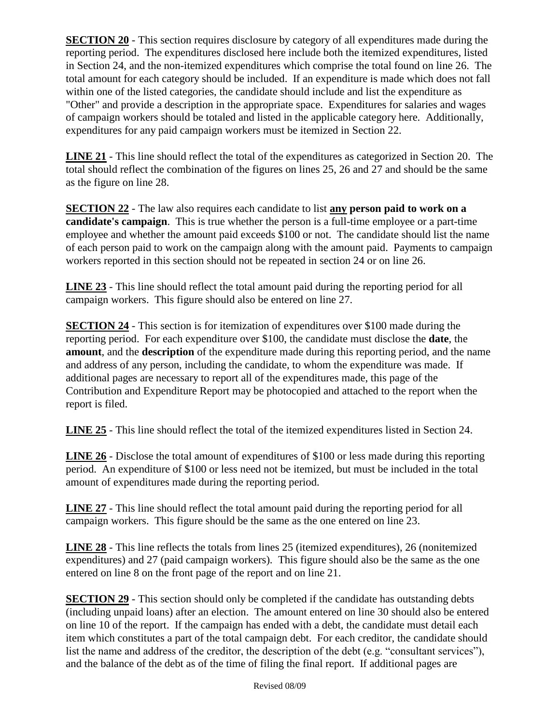**SECTION 20** - This section requires disclosure by category of all expenditures made during the reporting period. The expenditures disclosed here include both the itemized expenditures, listed in Section 24, and the non-itemized expenditures which comprise the total found on line 26. The total amount for each category should be included. If an expenditure is made which does not fall within one of the listed categories, the candidate should include and list the expenditure as "Other" and provide a description in the appropriate space. Expenditures for salaries and wages of campaign workers should be totaled and listed in the applicable category here. Additionally, expenditures for any paid campaign workers must be itemized in Section 22.

**LINE 21** - This line should reflect the total of the expenditures as categorized in Section 20. The total should reflect the combination of the figures on lines 25, 26 and 27 and should be the same as the figure on line 28.

**SECTION 22** - The law also requires each candidate to list **any person paid to work on a candidate's campaign**. This is true whether the person is a full-time employee or a part-time employee and whether the amount paid exceeds \$100 or not. The candidate should list the name of each person paid to work on the campaign along with the amount paid. Payments to campaign workers reported in this section should not be repeated in section 24 or on line 26.

**LINE 23** - This line should reflect the total amount paid during the reporting period for all campaign workers. This figure should also be entered on line 27.

**SECTION 24** - This section is for itemization of expenditures over \$100 made during the reporting period. For each expenditure over \$100, the candidate must disclose the **date**, the **amount**, and the **description** of the expenditure made during this reporting period, and the name and address of any person, including the candidate, to whom the expenditure was made. If additional pages are necessary to report all of the expenditures made, this page of the Contribution and Expenditure Report may be photocopied and attached to the report when the report is filed.

**LINE 25** - This line should reflect the total of the itemized expenditures listed in Section 24.

**LINE 26** - Disclose the total amount of expenditures of \$100 or less made during this reporting period. An expenditure of \$100 or less need not be itemized, but must be included in the total amount of expenditures made during the reporting period.

**LINE 27** - This line should reflect the total amount paid during the reporting period for all campaign workers. This figure should be the same as the one entered on line 23.

**LINE 28** - This line reflects the totals from lines 25 (itemized expenditures), 26 (nonitemized expenditures) and 27 (paid campaign workers). This figure should also be the same as the one entered on line 8 on the front page of the report and on line 21.

**SECTION 29** - This section should only be completed if the candidate has outstanding debts (including unpaid loans) after an election. The amount entered on line 30 should also be entered on line 10 of the report. If the campaign has ended with a debt, the candidate must detail each item which constitutes a part of the total campaign debt. For each creditor, the candidate should list the name and address of the creditor, the description of the debt (e.g. "consultant services"), and the balance of the debt as of the time of filing the final report. If additional pages are